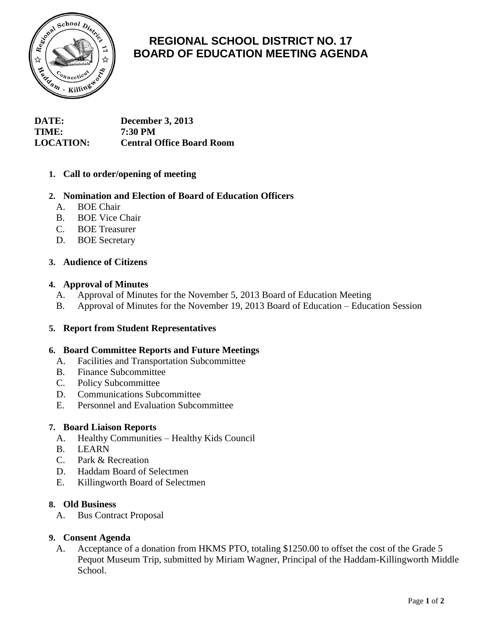

# **REGIONAL SCHOOL DISTRICT NO. 17 BOARD OF EDUCATION MEETING AGENDA**

| <b>DATE:</b>     | <b>December 3, 2013</b>          |
|------------------|----------------------------------|
| TIME:            | 7:30 PM                          |
| <b>LOCATION:</b> | <b>Central Office Board Room</b> |

# **1. Call to order/opening of meeting**

## **2. Nomination and Election of Board of Education Officers**

- A. BOE Chair
- B. BOE Vice Chair
- C. BOE Treasurer
- D. BOE Secretary

## **3. Audience of Citizens**

## **4. Approval of Minutes**

- A. Approval of Minutes for the November 5, 2013 Board of Education Meeting
- B. Approval of Minutes for the November 19, 2013 Board of Education Education Session

## **5. Report from Student Representatives**

## **6. Board Committee Reports and Future Meetings**

- A. Facilities and Transportation Subcommittee
- B. Finance Subcommittee
- C. Policy Subcommittee
- D. Communications Subcommittee
- E. Personnel and Evaluation Subcommittee

## **7. Board Liaison Reports**

- A. Healthy Communities Healthy Kids Council
- B. LEARN
- C. Park & Recreation
- D. Haddam Board of Selectmen
- E. Killingworth Board of Selectmen

#### **8. Old Business**

A. Bus Contract Proposal

## **9. Consent Agenda**

A. Acceptance of a donation from HKMS PTO, totaling \$1250.00 to offset the cost of the Grade 5 Pequot Museum Trip, submitted by Miriam Wagner, Principal of the Haddam-Killingworth Middle School.